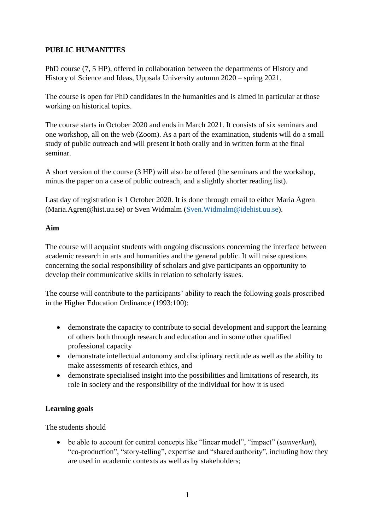# **PUBLIC HUMANITIES**

PhD course (7, 5 HP), offered in collaboration between the departments of History and History of Science and Ideas, Uppsala University autumn 2020 – spring 2021.

The course is open for PhD candidates in the humanities and is aimed in particular at those working on historical topics.

The course starts in October 2020 and ends in March 2021. It consists of six seminars and one workshop, all on the web (Zoom). As a part of the examination, students will do a small study of public outreach and will present it both orally and in written form at the final seminar.

A short version of the course (3 HP) will also be offered (the seminars and the workshop, minus the paper on a case of public outreach, and a slightly shorter reading list).

Last day of registration is 1 October 2020. It is done through email to either Maria Ågren (Maria.Agren@hist.uu.se) or Sven Widmalm [\(Sven.Widmalm@idehist.uu.se\)](mailto:Sven.Widmalm@idehist.uu.se).

## **Aim**

The course will acquaint students with ongoing discussions concerning the interface between academic research in arts and humanities and the general public. It will raise questions concerning the social responsibility of scholars and give participants an opportunity to develop their communicative skills in relation to scholarly issues.

The course will contribute to the participants' ability to reach the following goals proscribed in the Higher Education Ordinance (1993:100):

- demonstrate the capacity to contribute to social development and support the learning of others both through research and education and in some other qualified professional capacity
- demonstrate intellectual autonomy and disciplinary rectitude as well as the ability to make assessments of research ethics, and
- demonstrate specialised insight into the possibilities and limitations of research, its role in society and the responsibility of the individual for how it is used

# **Learning goals**

The students should

• be able to account for central concepts like "linear model", "impact" (*samverkan*), "co-production", "story-telling", expertise and "shared authority", including how they are used in academic contexts as well as by stakeholders;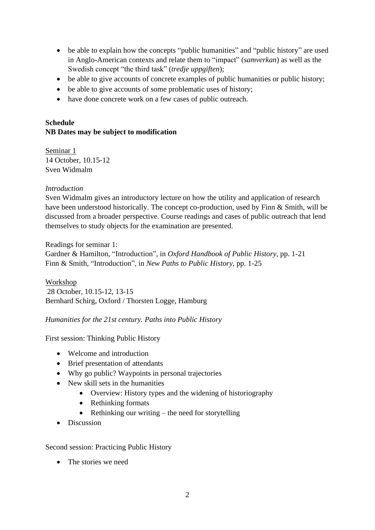- be able to explain how the concepts "public humanities" and "public history" are used in Anglo-American contexts and relate them to "impact" (*samverkan*) as well as the Swedish concept "the third task" (*tredje uppgiften*);
- be able to give accounts of concrete examples of public humanities or public history;
- be able to give accounts of some problematic uses of history;
- have done concrete work on a few cases of public outreach.

# **Schedule NB Dates may be subject to modification**

Seminar 1 14 October, 10.15-12 Sven Widmalm

### *Introduction*

Sven Widmalm gives an introductory lecture on how the utility and application of research have been understood historically. The concept co-production, used by Finn & Smith, will be discussed from a broader perspective. Course readings and cases of public outreach that lend themselves to study objects for the examination are presented.

Readings for seminar 1: Gardner & Hamilton, "Introduction", in *Oxford Handbook of Public History*, pp. 1-21 Finn & Smith, "Introduction", in *New Paths to Public History*, pp. 1-25

Workshop 28 October, 10.15-12, 13-15 Bernhard Schirg, Oxford / Thorsten Logge, Hamburg

*Humanities for the 21st century. Paths into Public History*

First session: Thinking Public History

- Welcome and introduction
- Brief presentation of attendants
- Why go public? Waypoints in personal trajectories
- New skill sets in the humanities
	- Overview: History types and the widening of historiography
	- Rethinking formats
	- Rethinking our writing the need for storytelling
- Discussion

Second session: Practicing Public History

• The stories we need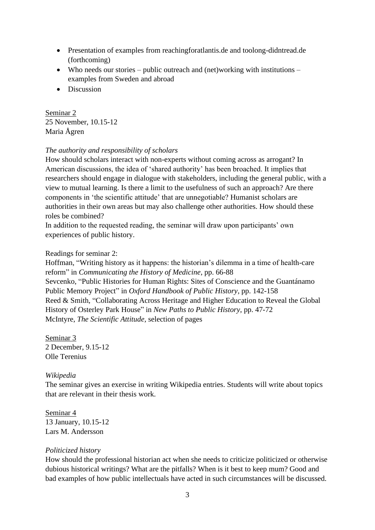- Presentation of examples from reachingforatlantis.de and toolong-didntread.de (forthcoming)
- Who needs our stories public outreach and (net)working with institutions examples from Sweden and abroad
- Discussion

Seminar 2 25 November, 10.15-12 Maria Ågren

### *The authority and responsibility of scholars*

How should scholars interact with non-experts without coming across as arrogant? In American discussions, the idea of 'shared authority' has been broached. It implies that researchers should engage in dialogue with stakeholders, including the general public, with a view to mutual learning. Is there a limit to the usefulness of such an approach? Are there components in 'the scientific attitude' that are unnegotiable? Humanist scholars are authorities in their own areas but may also challenge other authorities. How should these roles be combined?

In addition to the requested reading, the seminar will draw upon participants' own experiences of public history.

Readings for seminar 2:

Hoffman, "Writing history as it happens: the historian's dilemma in a time of health-care reform" in *Communicating the History of Medicine*, pp. 66-88 Sevcenko, "Public Histories for Human Rights: Sites of Conscience and the Guantánamo Public Memory Project" in *Oxford Handbook of Public History*, pp. 142-158 Reed & Smith, "Collaborating Across Heritage and Higher Education to Reveal the Global History of Osterley Park House" in *New Paths to Public History*, pp. 47-72 McIntyre, *The Scientific Attitude,* selection of pages

Seminar 3 2 December, 9.15-12 Olle Terenius

## *Wikipedia*

The seminar gives an exercise in writing Wikipedia entries. Students will write about topics that are relevant in their thesis work.

Seminar 4 13 January, 10.15-12 Lars M. Andersson

## *Politicized history*

How should the professional historian act when she needs to criticize politicized or otherwise dubious historical writings? What are the pitfalls? When is it best to keep mum? Good and bad examples of how public intellectuals have acted in such circumstances will be discussed.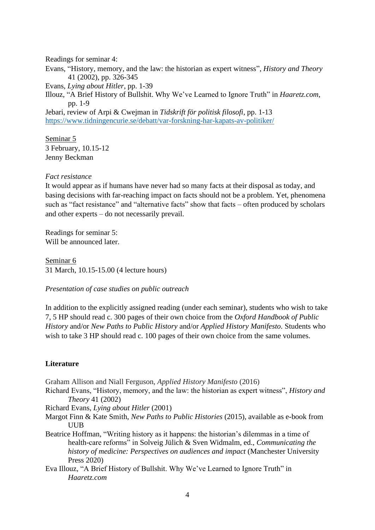Readings for seminar 4:

Evans, "History, memory, and the law: the historian as expert witness", *History and Theory* 41 (2002), pp. 326-345 Evans, *Lying about Hitler*, pp. 1-39 Illouz, "A Brief History of Bullshit. Why We've Learned to Ignore Truth" in *Haaretz.com*, pp. 1-9 Jebari, review of Arpi & Cwejman in *Tidskrift för politisk filosofi*, pp. 1-13 <https://www.tidningencurie.se/debatt/var-forskning-har-kapats-av-politiker/>

Seminar 5 3 February, 10.15-12 Jenny Beckman

#### *Fact resistance*

It would appear as if humans have never had so many facts at their disposal as today, and basing decisions with far-reaching impact on facts should not be a problem. Yet, phenomena such as "fact resistance" and "alternative facts" show that facts – often produced by scholars and other experts – do not necessarily prevail.

Readings for seminar 5: Will be announced later.

Seminar 6 31 March, 10.15-15.00 (4 lecture hours)

#### *Presentation of case studies on public outreach*

In addition to the explicitly assigned reading (under each seminar), students who wish to take 7, 5 HP should read c. 300 pages of their own choice from the *Oxford Handbook of Public History* and/or *New Paths to Public History* and/or *Applied History Manifesto.* Students who wish to take 3 HP should read c. 100 pages of their own choice from the same volumes.

#### **Literature**

- Graham Allison and Niall Ferguson, *Applied History Manifesto* (2016)
- Richard Evans, "History, memory, and the law: the historian as expert witness", *History and Theory* 41 (2002)
- Richard Evans, *Lying about Hitler* (2001)
- Margot Finn & Kate Smith, *New Paths to Public Histories* (2015), available as e-book from UUB
- Beatrice Hoffman, "Writing history as it happens: the historian's dilemmas in a time of health-care reforms" in Solveig Jülich & Sven Widmalm, ed., *Communicating the history of medicine: Perspectives on audiences and impact* (Manchester University Press 2020)
- Eva Illouz, "A Brief History of Bullshit. Why We've Learned to Ignore Truth" in *Haaretz.com*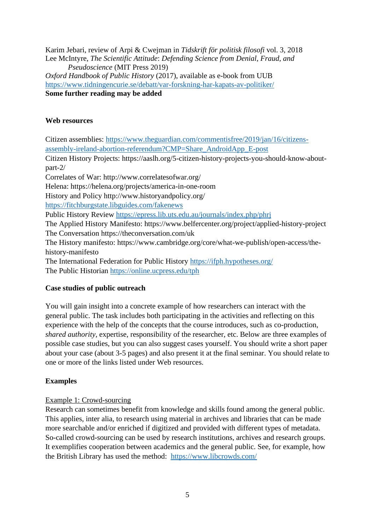Karim Jebari, review of Arpi & Cwejman in *Tidskrift för politisk filosofi* vol. 3, 2018 Lee McIntyre, *The Scientific Attitude*: *Defending Science from Denial, Fraud, and Pseudoscience* (MIT Press 2019) *Oxford Handbook of Public History* (2017), available as e-book from UUB <https://www.tidningencurie.se/debatt/var-forskning-har-kapats-av-politiker/> **Some further reading may be added**

### **Web resources**

Citizen assemblies: [https://www.theguardian.com/commentisfree/2019/jan/16/citizens](https://www.theguardian.com/commentisfree/2019/jan/16/citizens-assembly-ireland-abortion-referendum?CMP=Share_AndroidApp_E-post)[assembly-ireland-abortion-referendum?CMP=Share\\_AndroidApp\\_E-post](https://www.theguardian.com/commentisfree/2019/jan/16/citizens-assembly-ireland-abortion-referendum?CMP=Share_AndroidApp_E-post) Citizen History Projects: https://aaslh.org/5-citizen-history-projects-you-should-know-aboutpart-2/ Correlates of War: http://www.correlatesofwar.org/ Helena: https://helena.org/projects/america-in-one-room History and Policy http://www.historyandpolicy.org/ <https://fitchburgstate.libguides.com/fakenews> Public History Review<https://epress.lib.uts.edu.au/journals/index.php/phrj> The Applied History Manifesto: https://www.belfercenter.org/project/applied-history-project The Conversation https://theconversation.com/uk The History manifesto: https://www.cambridge.org/core/what-we-publish/open-access/thehistory-manifesto The International Federation for Public History<https://ifph.hypotheses.org/> The Public Historian <https://online.ucpress.edu/tph>

## **Case studies of public outreach**

You will gain insight into a concrete example of how researchers can interact with the general public. The task includes both participating in the activities and reflecting on this experience with the help of the concepts that the course introduces, such as co-production, *shared authority,* expertise, responsibility of the researcher, etc. Below are three examples of possible case studies, but you can also suggest cases yourself. You should write a short paper about your case (about 3-5 pages) and also present it at the final seminar. You should relate to one or more of the links listed under Web resources.

## **Examples**

#### Example 1: Crowd-sourcing

Research can sometimes benefit from knowledge and skills found among the general public. This applies, inter alia, to research using material in archives and libraries that can be made more searchable and/or enriched if digitized and provided with different types of metadata. So-called crowd-sourcing can be used by research institutions, archives and research groups. It exemplifies cooperation between academics and the general public. See, for example, how the British Library has used the method: <https://www.libcrowds.com/>